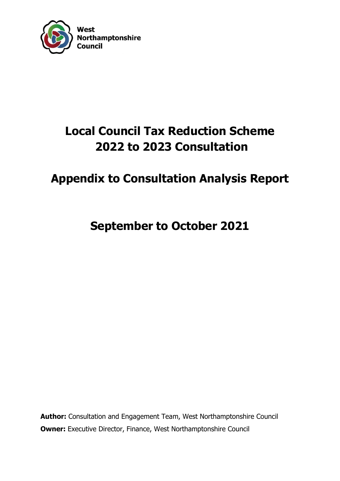

# **Local Council Tax Reduction Scheme 2022 to 2023 Consultation**

# **Appendix to Consultation Analysis Report**

**September to October 2021**

**Author:** Consultation and Engagement Team, West Northamptonshire Council **Owner:** Executive Director, Finance, West Northamptonshire Council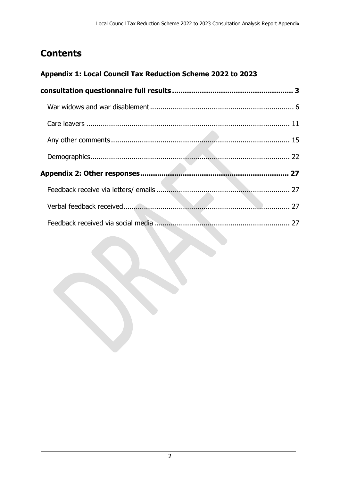# **Contents**

## **[Appendix 1: Local Council Tax Reduction Scheme 2022 to 2023](#page-2-0)**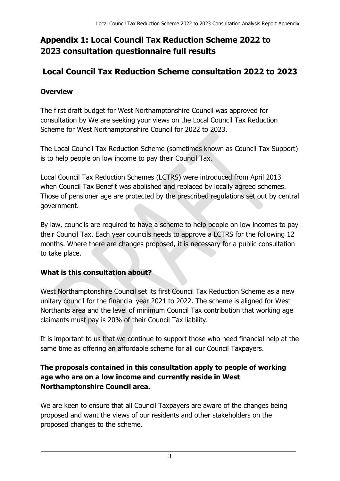# <span id="page-2-0"></span>**Appendix 1: Local Council Tax Reduction Scheme 2022 to 2023 consultation questionnaire full results**

# **Local Council Tax Reduction Scheme consultation 2022 to 2023**

## **Overview**

The first draft budget for West Northamptonshire Council was approved for consultation by We are seeking your views on the Local Council Tax Reduction Scheme for West Northamptonshire Council for 2022 to 2023.

The Local Council Tax Reduction Scheme (sometimes known as Council Tax Support) is to help people on low income to pay their Council Tax.

Local Council Tax Reduction Schemes (LCTRS) were introduced from April 2013 when Council Tax Benefit was abolished and replaced by locally agreed schemes. Those of pensioner age are protected by the prescribed regulations set out by central government.

By law, councils are required to have a scheme to help people on low incomes to pay their Council Tax. Each year councils needs to approve a LCTRS for the following 12 months. Where there are changes proposed, it is necessary for a public consultation to take place.

#### **What is this consultation about?**

West Northamptonshire Council set its first Council Tax Reduction Scheme as a new unitary council for the financial year 2021 to 2022. The scheme is aligned for West Northants area and the level of minimum Council Tax contribution that working age claimants must pay is 20% of their Council Tax liability.

It is important to us that we continue to support those who need financial help at the same time as offering an affordable scheme for all our Council Taxpayers.

#### **The proposals contained in this consultation apply to people of working age who are on a low income and currently reside in West Northamptonshire Council area.**

We are keen to ensure that all Council Taxpayers are aware of the changes being proposed and want the views of our residents and other stakeholders on the proposed changes to the scheme.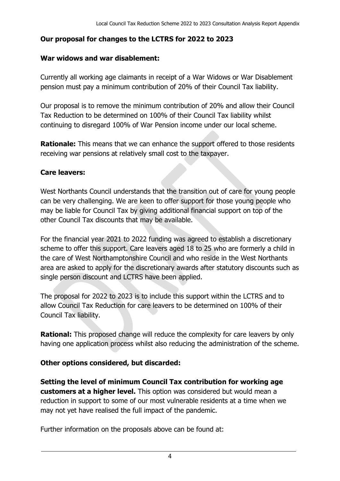#### **Our proposal for changes to the LCTRS for 2022 to 2023**

#### **War widows and war disablement:**

Currently all working age claimants in receipt of a War Widows or War Disablement pension must pay a minimum contribution of 20% of their Council Tax liability.

Our proposal is to remove the minimum contribution of 20% and allow their Council Tax Reduction to be determined on 100% of their Council Tax liability whilst continuing to disregard 100% of War Pension income under our local scheme.

**Rationale:** This means that we can enhance the support offered to those residents receiving war pensions at relatively small cost to the taxpayer.

#### **Care leavers:**

West Northants Council understands that the transition out of care for young people can be very challenging. We are keen to offer support for those young people who may be liable for Council Tax by giving additional financial support on top of the other Council Tax discounts that may be available.

For the financial year 2021 to 2022 funding was agreed to establish a discretionary scheme to offer this support. Care leavers aged 18 to 25 who are formerly a child in the care of West Northamptonshire Council and who reside in the West Northants area are asked to apply for the discretionary awards after statutory discounts such as single person discount and LCTRS have been applied.

The proposal for 2022 to 2023 is to include this support within the LCTRS and to allow Council Tax Reduction for care leavers to be determined on 100% of their Council Tax liability.

**Rational:** This proposed change will reduce the complexity for care leavers by only having one application process whilst also reducing the administration of the scheme.

#### **Other options considered, but discarded:**

**Setting the level of minimum Council Tax contribution for working age customers at a higher level.** This option was considered but would mean a reduction in support to some of our most vulnerable residents at a time when we may not yet have realised the full impact of the pandemic.

Further information on the proposals above can be found at: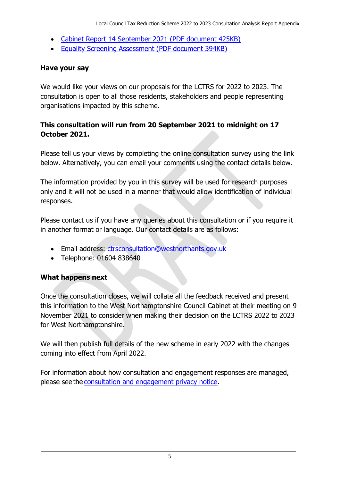- [Cabinet Report 14 September 2021 \(PDF document 425KB\)](https://westnorthants.citizenspace.com/lctrs/2022-to-2023-consultation/supporting_documents/WNCCabinet%20CTRS%202223%20Final.pdf)
- [Equality Screening Assessment \(PDF document 394KB\)](https://westnorthants.citizenspace.com/lctrs/2022-to-2023-consultation/supporting_documents/Screening%20Form%20EIA%20CTRS%202223.pdf)

#### **Have your say**

We would like your views on our proposals for the LCTRS for 2022 to 2023. The consultation is open to all those residents, stakeholders and people representing organisations impacted by this scheme.

## **This consultation will run from 20 September 2021 to midnight on 17 October 2021.**

Please tell us your views by completing the online consultation survey using the link below. Alternatively, you can email your comments using the contact details below.

The information provided by you in this survey will be used for research purposes only and it will not be used in a manner that would allow identification of individual responses.

Please contact us if you have any queries about this consultation or if you require it in another format or language. Our contact details are as follows:

- Email address: [ctrsconsultation@westnorthants.gov.uk](mailto:ctrsconsultation@westnorthants.gov.uk)
- Telephone: 01604 838640

## **What happens next**

Once the consultation closes, we will collate all the feedback received and present this information to the West Northamptonshire Council Cabinet at their meeting on 9 November 2021 to consider when making their decision on the LCTRS 2022 to 2023 for West Northamptonshire.

We will then publish full details of the new scheme in early 2022 with the changes coming into effect from April 2022.

For information about how consultation and engagement responses are managed, please see the [consultation and engagement privacy notice.](https://westnorthants.citizenspace.com/privacy_policy/)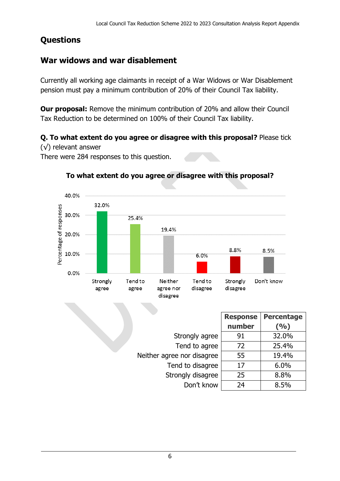# **Questions**

# <span id="page-5-0"></span>**War widows and war disablement**

Currently all working age claimants in receipt of a War Widows or War Disablement pension must pay a minimum contribution of 20% of their Council Tax liability.

**Our proposal:** Remove the minimum contribution of 20% and allow their Council Tax Reduction to be determined on 100% of their Council Tax liability.

**Q. To what extent do you agree or disagree with this proposal?** Please tick

(√) relevant answer

There were 284 responses to this question.



#### **To what extent do you agree or disagree with this proposal?**

|                            | <b>Response</b> | <b>Percentage</b> |
|----------------------------|-----------------|-------------------|
|                            | number          | (9/0)             |
| Strongly agree             | 91              | 32.0%             |
| Tend to agree              | 72              | 25.4%             |
| Neither agree nor disagree | 55              | 19.4%             |
| Tend to disagree           | 17              | 6.0%              |
| Strongly disagree          | 25              | 8.8%              |
| Don't know                 | 24              | 8.5%              |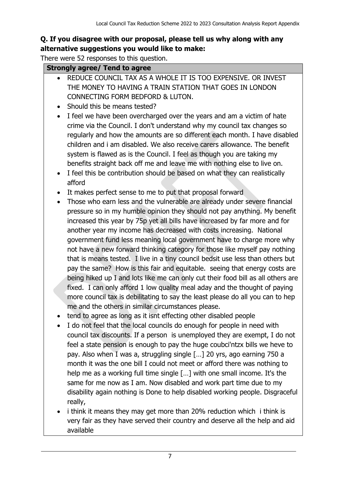## **Q. If you disagree with our proposal, please tell us why along with any alternative suggestions you would like to make:**

There were 52 responses to this question.

#### **Strongly agree/ Tend to agree**

- REDUCE COUNCIL TAX AS A WHOLE IT IS TOO EXPENSIVE. OR INVEST THE MONEY TO HAVING A TRAIN STATION THAT GOES IN LONDON CONNECTING FORM BEDFORD & LUTON.
- Should this be means tested?
- I feel we have been overcharged over the years and am a victim of hate crime via the Council. I don't understand why my council tax changes so regularly and how the amounts are so different each month. I have disabled children and i am disabled. We also receive carers allowance. The benefit system is flawed as is the Council. I feel as though you are taking my benefits straight back off me and leave me with nothing else to live on.
- I feel this be contribution should be based on what they can realistically afford
- It makes perfect sense to me to put that proposal forward
- Those who earn less and the vulnerable are already under severe financial pressure so in my humble opinion they should not pay anything. My benefit increased this year by 75p yet all bills have increased by far more and for another year my income has decreased with costs increasing. National government fund less meaning local government have to charge more why not have a new forward thinking category for those like myself pay nothing that is means tested. I live in a tiny council bedsit use less than others but pay the same? How is this fair and equitable. seeing that energy costs are being hiked up I and lots like me can only cut their food bill as all others are fixed. I can only afford 1 low quality meal aday and the thought of paying more council tax is debilitating to say the least please do all you can to hep me and the others in similar circumstances please.
- tend to agree as long as it isnt effecting other disabled people
- I do not feel that the local councils do enough for people in need with council tax discounts. If a person is unemployed they are exempt, I do not feel a state pension is enough to pay the huge coubci'ntzx bills we heve to pay. Also when I was a, struggling single […] 20 yrs, ago earning 750 a month it was the one bill I could not meet or afford there was nothing to help me as a working full time single […] with one small income. It's the same for me now as I am. Now disabled and work part time due to my disability again nothing is Done to help disabled working people. Disgraceful really,
- i think it means they may get more than 20% reduction which i think is very fair as they have served their country and deserve all the help and aid available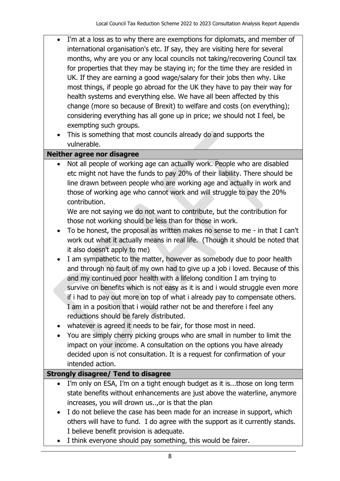- I'm at a loss as to why there are exemptions for diplomats, and member of international organisation's etc. If say, they are visiting here for several months, why are you or any local councils not taking/recovering Council tax for properties that they may be staying in; for the time they are resided in UK. If they are earning a good wage/salary for their jobs then why. Like most things, if people go abroad for the UK they have to pay their way for health systems and everything else. We have all been affected by this change (more so because of Brexit) to welfare and costs (on everything); considering everything has all gone up in price; we should not I feel, be exempting such groups.
	- This is something that most councils already do and supports the vulnerable.

#### **Neither agree nor disagree**

 Not all people of working age can actually work. People who are disabled etc might not have the funds to pay 20% of their liability. There should be line drawn between people who are working age and actually in work and those of working age who cannot work and will struggle to pay the 20% contribution.

We are not saying we do not want to contribute, but the contribution for those not working should be less than for those in work.

- To be honest, the proposal as written makes no sense to me in that I can't work out what it actually means in real life. (Though it should be noted that it also doesn't apply to me)
- I am sympathetic to the matter, however as somebody due to poor health and through no fault of my own had to give up a job i loved. Because of this and my continued poor health with a lifelong condition I am trying to survive on benefits which is not easy as it is and i would struggle even more if i had to pay out more on top of what i already pay to compensate others. I am in a position that i would rather not be and therefore i feel any reductions should be farely distributed.
- whatever is agreed it needs to be fair, for those most in need.
- You are simply cherry picking groups who are small in number to limit the impact on your income. A consultation on the options you have already decided upon is not consultation. It is a request for confirmation of your intended action.

## **Strongly disagree/ Tend to disagree**

- I'm only on ESA, I'm on a tight enough budget as it is...those on long term state benefits without enhancements are just above the waterline, anymore increases, you will drown us..,or is that the plan
- I do not believe the case has been made for an increase in support, which others will have to fund. I do agree with the support as it currently stands. I believe benefit provision is adequate.
- I think everyone should pay something, this would be fairer.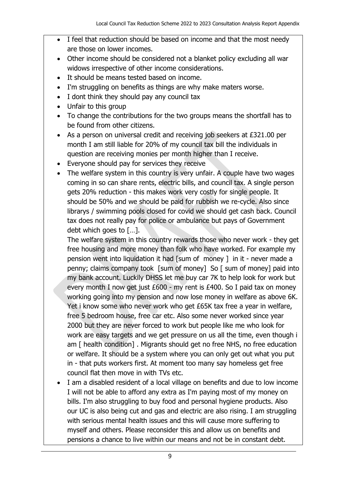- I feel that reduction should be based on income and that the most needy are those on lower incomes.
- Other income should be considered not a blanket policy excluding all war widows irrespective of other income considerations.
- It should be means tested based on income.
- I'm struggling on benefits as things are why make maters worse.
- I dont think they should pay any council tax
- Unfair to this group
- To change the contributions for the two groups means the shortfall has to be found from other citizens.
- As a person on universal credit and receiving job seekers at £321.00 per month I am still liable for 20% of my council tax bill the individuals in question are receiving monies per month higher than I receive.
- Everyone should pay for services they receive
- The welfare system in this country is very unfair. A couple have two wages coming in so can share rents, electric bills, and council tax. A single person gets 20% reduction - this makes work very costly for single people. It should be 50% and we should be paid for rubbish we re-cycle. Also since librarys / swimming pools closed for covid we should get cash back. Council tax does not really pay for police or ambulance but pays of Government debt which goes to […].

The welfare system in this country rewards those who never work - they get free housing and more money than folk who have worked. For example my pension went into liquidation it had [sum of money ] in it - never made a penny; claims company took [sum of money] So [ sum of money] paid into my bank account. Luckily DHSS let me buy car 7K to help look for work but every month I now get just £600 - my rent is £400. So I paid tax on money working going into my pension and now lose money in welfare as above 6K. Yet i know some who never work who get £65K tax free a year in welfare, free 5 bedroom house, free car etc. Also some never worked since year 2000 but they are never forced to work but people like me who look for work are easy targets and we get pressure on us all the time, even though i am [ health condition] . Migrants should get no free NHS, no free education or welfare. It should be a system where you can only get out what you put in - that puts workers first. At moment too many say homeless get free council flat then move in with TVs etc.

• I am a disabled resident of a local village on benefits and due to low income I will not be able to afford any extra as I'm paying most of my money on bills. I'm also struggling to buy food and personal hygiene products. Also our UC is also being cut and gas and electric are also rising. I am struggling with serious mental health issues and this will cause more suffering to myself and others. Please reconsider this and allow us on benefits and pensions a chance to live within our means and not be in constant debt.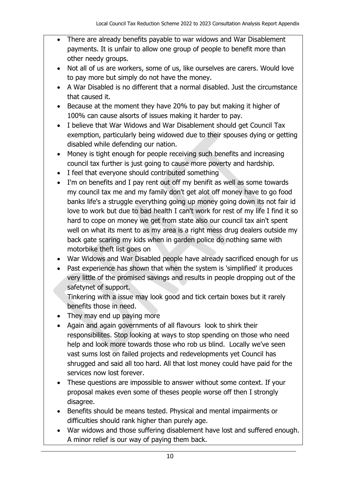- There are already benefits payable to war widows and War Disablement payments. It is unfair to allow one group of people to benefit more than other needy groups.
- Not all of us are workers, some of us, like ourselves are carers. Would love to pay more but simply do not have the money.
- A War Disabled is no different that a normal disabled. Just the circumstance that caused it.
- Because at the moment they have 20% to pay but making it higher of 100% can cause alsorts of issues making it harder to pay.
- I believe that War Widows and War Disablement should get Council Tax exemption, particularly being widowed due to their spouses dying or getting disabled while defending our nation.
- Money is tight enough for people receiving such benefits and increasing council tax further is just going to cause more poverty and hardship.
- I feel that everyone should contributed something
- I'm on benefits and I pay rent out off my benifit as well as some towards my council tax me and my family don't get alot off money have to go food banks life's a struggle everything going up money going down its not fair id love to work but due to bad health I can't work for rest of my life I find it so hard to cope on money we get from state also our council tax ain't spent well on what its ment to as my area is a right mess drug dealers outside my back gate scaring my kids when in garden police do nothing same with motorbike theft list goes on
- War Widows and War Disabled people have already sacrificed enough for us
- Past experience has shown that when the system is 'simplified' it produces very little of the promised savings and results in people dropping out of the safetynet of support.

Tinkering with a issue may look good and tick certain boxes but it rarely benefits those in need.

- They may end up paying more
- Again and again governments of all flavours look to shirk their responsibilites. Stop looking at ways to stop spending on those who need help and look more towards those who rob us blind. Locally we've seen vast sums lost on failed projects and redevelopments yet Council has shrugged and said all too hard. All that lost money could have paid for the services now lost forever.
- These questions are impossible to answer without some context. If your proposal makes even some of theses people worse off then I strongly disagree.
- Benefits should be means tested. Physical and mental impairments or difficulties should rank higher than purely age.
- War widows and those suffering disablement have lost and suffered enough. A minor relief is our way of paying them back.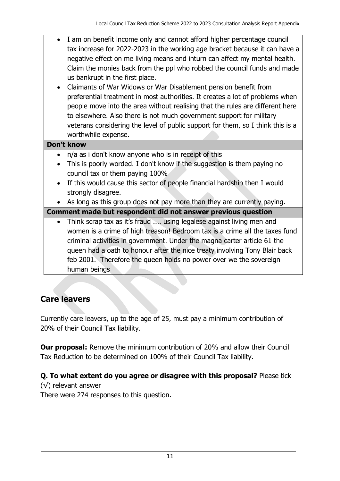- I am on benefit income only and cannot afford higher percentage council tax increase for 2022-2023 in the working age bracket because it can have a negative effect on me living means and inturn can affect my mental health. Claim the monies back from the ppl who robbed the council funds and made us bankrupt in the first place.
- Claimants of War Widows or War Disablement pension benefit from preferential treatment in most authorities. It creates a lot of problems when people move into the area without realising that the rules are different here to elsewhere. Also there is not much government support for military veterans considering the level of public support for them, so I think this is a worthwhile expense.

#### **Don't know**

- n/a as i don't know anyone who is in receipt of this
- This is poorly worded. I don't know if the suggestion is them paying no council tax or them paying 100%
- If this would cause this sector of people financial hardship then I would strongly disagree.
- As long as this group does not pay more than they are currently paying.

#### **Comment made but respondent did not answer previous question**

• Think scrap tax as it's fraud .... using legalese against living men and women is a crime of high treason! Bedroom tax is a crime all the taxes fund criminal activities in government. Under the magna carter article 61 the queen had a oath to honour after the nice treaty involving Tony Blair back feb 2001. Therefore the queen holds no power over we the sovereign human beings

# <span id="page-10-0"></span>**Care leavers**

Currently care leavers, up to the age of 25, must pay a minimum contribution of 20% of their Council Tax liability.

**Our proposal:** Remove the minimum contribution of 20% and allow their Council Tax Reduction to be determined on 100% of their Council Tax liability.

## **Q. To what extent do you agree or disagree with this proposal?** Please tick

(√) relevant answer

There were 274 responses to this question.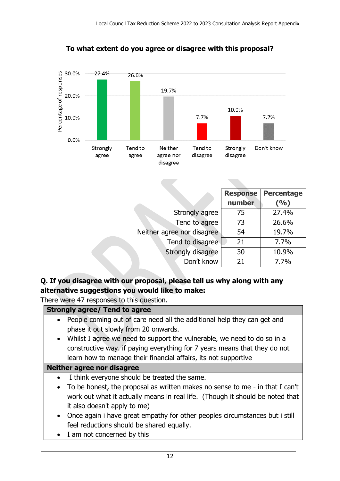

## **To what extent do you agree or disagree with this proposal?**

|                            | <b>Response</b> | <b>Percentage</b> |
|----------------------------|-----------------|-------------------|
|                            | number          | (9/0)             |
| Strongly agree             | 75              | 27.4%             |
| Tend to agree              | 73              | 26.6%             |
| Neither agree nor disagree | 54              | 19.7%             |
| Tend to disagree           | 21              | 7.7%              |
| Strongly disagree          | 30              | 10.9%             |
| Don't know                 | 21              | 7.7%              |

## **Q. If you disagree with our proposal, please tell us why along with any alternative suggestions you would like to make:**

There were 47 responses to this question.

|           | <b>Strongly agree/ Tend to agree</b>                                          |
|-----------|-------------------------------------------------------------------------------|
|           | People coming out of care need all the additional help they can get and       |
|           | phase it out slowly from 20 onwards.                                          |
|           | • Whilst I agree we need to support the vulnerable, we need to do so in a     |
|           | constructive way. if paying everything for 7 years means that they do not     |
|           | learn how to manage their financial affairs, its not supportive               |
|           | Neither agree nor disagree                                                    |
|           | I think everyone should be treated the same.                                  |
| $\bullet$ | To be honest, the proposal as written makes no sense to me - in that I can't  |
|           | work out what it actually means in real life. (Though it should be noted that |
|           | it also doesn't apply to me)                                                  |
|           | • Once again i have great empathy for other peoples circumstances but i still |
|           | feel reductions should be shared equally.                                     |
| $\bullet$ | I am not concerned by this                                                    |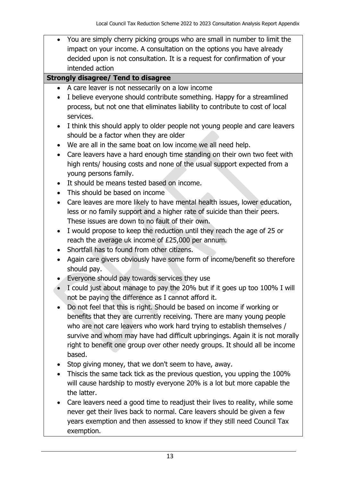You are simply cherry picking groups who are small in number to limit the impact on your income. A consultation on the options you have already decided upon is not consultation. It is a request for confirmation of your intended action

#### **Strongly disagree/ Tend to disagree**

- A care leaver is not nessecarily on a low income
- I believe everyone should contribute something. Happy for a streamlined process, but not one that eliminates liability to contribute to cost of local services.
- I think this should apply to older people not young people and care leavers should be a factor when they are older
- We are all in the same boat on low income we all need help.
- Care leavers have a hard enough time standing on their own two feet with high rents/ housing costs and none of the usual support expected from a young persons family.
- It should be means tested based on income.
- This should be based on income
- Care leaves are more likely to have mental health issues, lower education, less or no family support and a higher rate of suicide than their peers. These issues are down to no fault of their own.
- I would propose to keep the reduction until they reach the age of 25 or reach the average uk income of £25,000 per annum.
- Shortfall has to found from other citizens.
- Again care givers obviously have some form of income/benefit so therefore should pay.
- Everyone should pay towards services they use
- I could just about manage to pay the 20% but if it goes up too 100% I will not be paying the difference as I cannot afford it.
- Do not feel that this is right. Should be based on income if working or benefits that they are currently receiving. There are many young people who are not care leavers who work hard trying to establish themselves / survive and whom may have had difficult upbringings. Again it is not morally right to benefit one group over other needy groups. It should all be income based.
- Stop giving money, that we don't seem to have, away.
- Thiscis the same tack tick as the previous question, you upping the 100% will cause hardship to mostly everyone 20% is a lot but more capable the the latter.
- Care leavers need a good time to readjust their lives to reality, while some never get their lives back to normal. Care leavers should be given a few years exemption and then assessed to know if they still need Council Tax exemption.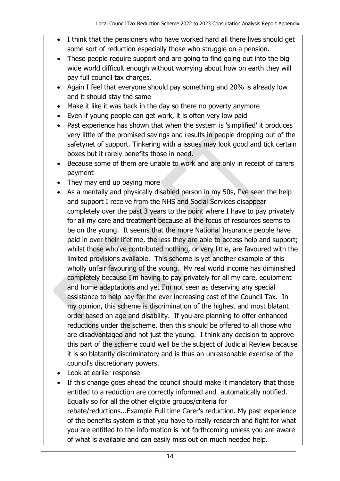- I think that the pensioners who have worked hard all there lives should get some sort of reduction especially those who struggle on a pension.
- These people require support and are going to find going out into the big wide world difficult enough without worrying about how on earth they will pay full council tax charges.
- Again I feel that everyone should pay something and 20% is already low and it should stay the same
- Make it like it was back in the day so there no poverty anymore
- Even if young people can get work, it is often very low paid
- Past experience has shown that when the system is 'simplified' it produces very little of the promised savings and results in people dropping out of the safetynet of support. Tinkering with a issues may look good and tick certain boxes but it rarely benefits those in need.
- Because some of them are unable to work and are only in receipt of carers payment
- They may end up paying more
- As a mentally and physically disabled person in my 50s, I've seen the help and support I receive from the NHS and Social Services disappear completely over the past 3 years to the point where I have to pay privately for all my care and treatment because all the focus of resources seems to be on the young. It seems that the more National Insurance people have paid in over their lifetime, the less they are able to access help and support; whilst those who've contributed nothing, or very little, are favoured with the limited provisions available. This scheme is yet another example of this wholly unfair favouring of the young. My real world income has diminished completely because I'm having to pay privately for all my care, equipment and home adaptations and yet I'm not seen as deserving any special assistance to help pay for the ever increasing cost of the Council Tax. In my opinion, this scheme is discrimination of the highest and most blatant order based on age and disability. If you are planning to offer enhanced reductions under the scheme, then this should be offered to all those who are disadvantaged and not just the young. I think any decision to approve this part of the scheme could well be the subject of Judicial Review because it is so blatantly discriminatory and is thus an unreasonable exercise of the council's discretionary powers.
- Look at earlier response
- If this change goes ahead the council should make it mandatory that those entitled to a reduction are correctly informed and automatically notified. Equally so for all the other eligible groups/criteria for rebate/reductions...Example Full time Carer's reduction. My past experience of the benefits system is that you have to really research and fight for what you are entitled to the information is not forthcoming unless you are aware of what is available and can easily miss out on much needed help.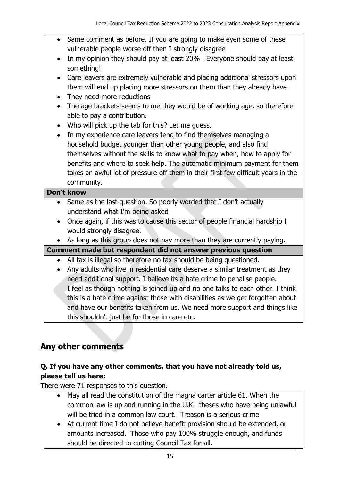- Same comment as before. If you are going to make even some of these vulnerable people worse off then I strongly disagree
- In my opinion they should pay at least 20%. Everyone should pay at least something!
- Care leavers are extremely vulnerable and placing additional stressors upon them will end up placing more stressors on them than they already have.
- They need more reductions
- The age brackets seems to me they would be of working age, so therefore able to pay a contribution.
- Who will pick up the tab for this? Let me guess.
- In my experience care leavers tend to find themselves managing a household budget younger than other young people, and also find themselves without the skills to know what to pay when, how to apply for benefits and where to seek help. The automatic minimum payment for them takes an awful lot of pressure off them in their first few difficult years in the community.

#### **Don't know**

- Same as the last question. So poorly worded that I don't actually understand what I'm being asked
- Once again, if this was to cause this sector of people financial hardship I would strongly disagree.

As long as this group does not pay more than they are currently paying.

**Comment made but respondent did not answer previous question**

- All tax is illegal so therefore no tax should be being questioned.
- Any adults who live in residential care deserve a similar treatment as they need additional support. I believe its a hate crime to penalise people. I feel as though nothing is joined up and no one talks to each other. I think this is a hate crime against those with disabilities as we get forgotten about and have our benefits taken from us. We need more support and things like this shouldn't just be for those in care etc.

# <span id="page-14-0"></span>**Any other comments**

## **Q. If you have any other comments, that you have not already told us, please tell us here:**

There were 71 responses to this question.

- May all read the constitution of the magna carter article 61. When the common law is up and running in the U.K. theses who have being unlawful will be tried in a common law court. Treason is a serious crime
- At current time I do not believe benefit provision should be extended, or amounts increased. Those who pay 100% struggle enough, and funds should be directed to cutting Council Tax for all.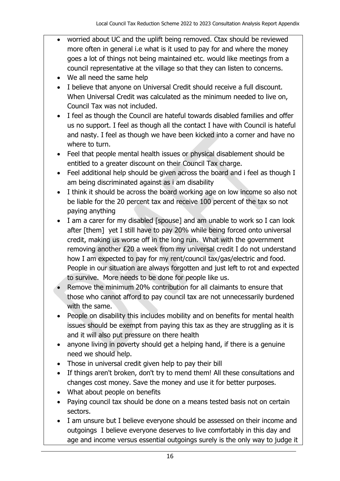- worried about UC and the uplift being removed. Ctax should be reviewed more often in general i.e what is it used to pay for and where the money goes a lot of things not being maintained etc. would like meetings from a council representative at the village so that they can listen to concerns.
- We all need the same help
- I believe that anyone on Universal Credit should receive a full discount. When Universal Credit was calculated as the minimum needed to live on, Council Tax was not included.
- I feel as though the Council are hateful towards disabled families and offer us no support. I feel as though all the contact I have with Council is hateful and nasty. I feel as though we have been kicked into a corner and have no where to turn.
- Feel that people mental health issues or physical disablement should be entitled to a greater discount on their Council Tax charge.
- Feel additional help should be given across the board and i feel as though I am being discriminated against as i am disability
- I think it should be across the board working age on low income so also not be liable for the 20 percent tax and receive 100 percent of the tax so not paying anything
- I am a carer for my disabled [spouse] and am unable to work so I can look after [them] yet I still have to pay 20% while being forced onto universal credit, making us worse off in the long run. What with the government removing another £20 a week from my universal credit I do not understand how I am expected to pay for my rent/council tax/gas/electric and food. People in our situation are always forgotten and just left to rot and expected to survive. More needs to be done for people like us.
- Remove the minimum 20% contribution for all claimants to ensure that those who cannot afford to pay council tax are not unnecessarily burdened with the same.
- People on disability this includes mobility and on benefits for mental health issues should be exempt from paying this tax as they are struggling as it is and it will also put pressure on there health
- anyone living in poverty should get a helping hand, if there is a genuine need we should help.
- Those in universal credit given help to pay their bill
- If things aren't broken, don't try to mend them! All these consultations and changes cost money. Save the money and use it for better purposes.
- What about people on benefits
- Paying council tax should be done on a means tested basis not on certain sectors.
- I am unsure but I believe everyone should be assessed on their income and outgoings I believe everyone deserves to live comfortably in this day and age and income versus essential outgoings surely is the only way to judge it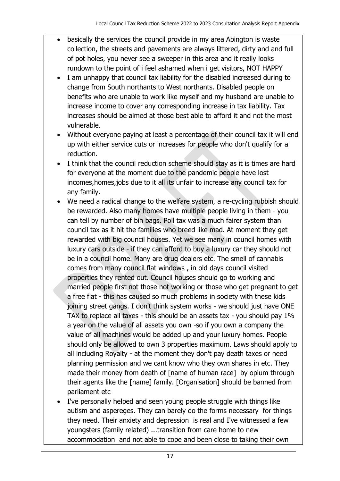- basically the services the council provide in my area Abington is waste collection, the streets and pavements are always littered, dirty and and full of pot holes, you never see a sweeper in this area and it really looks rundown to the point of i feel ashamed when i get visitors, NOT HAPPY
- I am unhappy that council tax liability for the disabled increased during to change from South northants to West northants. Disabled people on benefits who are unable to work like myself and my husband are unable to increase income to cover any corresponding increase in tax liability. Tax increases should be aimed at those best able to afford it and not the most vulnerable.
- Without everyone paying at least a percentage of their council tax it will end up with either service cuts or increases for people who don't qualify for a reduction.
- I think that the council reduction scheme should stay as it is times are hard for everyone at the moment due to the pandemic people have lost incomes,homes,jobs due to it all its unfair to increase any council tax for any family.
- We need a radical change to the welfare system, a re-cycling rubbish should be rewarded. Also many homes have multiple people living in them - you can tell by number of bin bags. Poll tax was a much fairer system than council tax as it hit the families who breed like mad. At moment they get rewarded with big council houses. Yet we see many in council homes with luxury cars outside - if they can afford to buy a luxury car they should not be in a council home. Many are drug dealers etc. The smell of cannabis comes from many council flat windows , in old days council visited properties they rented out. Council houses should go to working and married people first not those not working or those who get pregnant to get a free flat - this has caused so much problems in society with these kids joining street gangs. I don't think system works - we should just have ONE TAX to replace all taxes - this should be an assets tax - you should pay 1% a year on the value of all assets you own -so if you own a company the value of all machines would be added up and your luxury homes. People should only be allowed to own 3 properties maximum. Laws should apply to all including Royalty - at the moment they don't pay death taxes or need planning permission and we cant know who they own shares in etc. They made their money from death of [name of human race] by opium through their agents like the [name] family. [Organisation] should be banned from parliament etc
- I've personally helped and seen young people struggle with things like autism and aspereges. They can barely do the forms necessary for things they need. Their anxiety and depression is real and I've witnessed a few youngsters (family related) ...transition from care home to new accommodation and not able to cope and been close to taking their own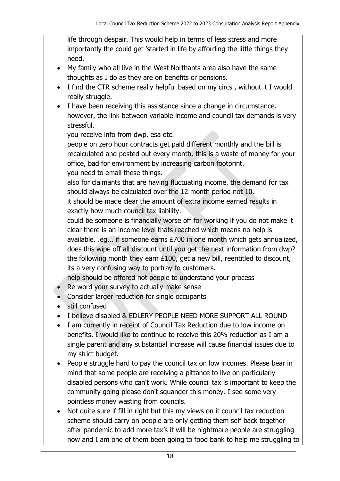life through despair. This would help in terms of less stress and more importantly the could get 'started in life by affording the little things they need.

- My family who all live in the West Northants area also have the same thoughts as I do as they are on benefits or pensions.
- I find the CTR scheme really helpful based on my circs, without it I would really struggle.
- I have been receiving this assistance since a change in circumstance. however, the link between variable income and council tax demands is very stressful.

you receive info from dwp, esa etc.

people on zero hour contracts get paid different monthly and the bill is recalculated and posted out every month. this is a waste of money for your office, bad for environment by increasing carbon footprint.

you need to email these things.

also for claimants that are having fluctuating income, the demand for tax should always be calculated over the 12 month period not 10.

it should be made clear the amount of extra income earned results in exactly how much council tax liability.

could be someone is financially worse off for working if you do not make it clear there is an income level thats reached which means no help is available. .eg... if someone earns £700 in one month which gets annualized, does this wipe off all discount until you get the next information from dwp? the following month they earn £100, get a new bill, reentitled to discount, its a very confusing way to portray to customers.

help should be offered not people to understand your process

- Re word your survey to actually make sense
- Consider larger reduction for single occupants
- still confused
- I believe disabled & EDLERY PEOPLE NEED MORE SUPPORT ALL ROUND
- I am currently in receipt of Council Tax Reduction due to low income on benefits. I would like to continue to receive this 20% reduction as I am a single parent and any substantial increase will cause financial issues due to my strict budget.
- People struggle hard to pay the council tax on low incomes. Please bear in mind that some people are receiving a pittance to live on particularly disabled persons who can't work. While council tax is important to keep the community going please don't squander this money. I see some very pointless money wasting from councils.
- Not quite sure if fill in right but this my views on it council tax reduction scheme should carry on people are only getting them self back together after pandemic to add more tax's it will be nightmare people are struggling now and I am one of them been going to food bank to help me struggling to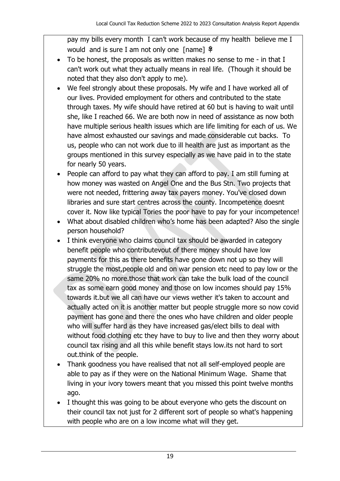pay my bills every month I can't work because of my health believe me I would and is sure I am not only one [name]  $\frac{1}{2}$ 

- To be honest, the proposals as written makes no sense to me in that I can't work out what they actually means in real life. (Though it should be noted that they also don't apply to me).
- We feel strongly about these proposals. My wife and I have worked all of our lives. Provided employment for others and contributed to the state through taxes. My wife should have retired at 60 but is having to wait until she, like I reached 66. We are both now in need of assistance as now both have multiple serious health issues which are life limiting for each of us. We have almost exhausted our savings and made considerable cut backs. To us, people who can not work due to ill health are just as important as the groups mentioned in this survey especially as we have paid in to the state for nearly 50 years.
- People can afford to pay what they can afford to pay. I am still fuming at how money was wasted on Angel One and the Bus Stn. Two projects that were not needed, frittering away tax payers money. You've closed down libraries and sure start centres across the county. Incompetence doesnt cover it. Now like typical Tories the poor have to pay for your incompetence!
- What about disabled children who's home has been adapted? Also the single person household?
- I think everyone who claims council tax should be awarded in category benefit people who contributevout of there money should have low payments for this as there benefits have gone down not up so they will struggle the most,people old and on war pension etc need to pay low or the same 20% no more.those that work can take the bulk load of the council tax as some earn good money and those on low incomes should pay 15% towards it.but we all can have our views wether it's taken to account and actually acted on it is another matter but people struggle more so now covid payment has gone and there the ones who have children and older people who will suffer hard as they have increased gas/elect bills to deal with without food clothing etc they have to buy to live and then they worry about council tax rising and all this while benefit stays low.its not hard to sort out.think of the people.
- Thank goodness you have realised that not all self-employed people are able to pay as if they were on the National Minimum Wage. Shame that living in your ivory towers meant that you missed this point twelve months ago.
- I thought this was going to be about everyone who gets the discount on their council tax not just for 2 different sort of people so what's happening with people who are on a low income what will they get.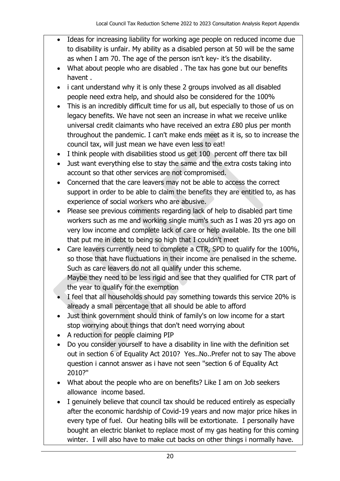- Ideas for increasing liability for working age people on reduced income due to disability is unfair. My ability as a disabled person at 50 will be the same as when I am 70. The age of the person isn't key- it's the disability.
- What about people who are disabled . The tax has gone but our benefits havent .
- i cant understand why it is only these 2 groups involved as all disabled people need extra help, and should also be considered for the 100%
- This is an incredibly difficult time for us all, but especially to those of us on legacy benefits. We have not seen an increase in what we receive unlike universal credit claimants who have received an extra £80 plus per month throughout the pandemic. I can't make ends meet as it is, so to increase the council tax, will just mean we have even less to eat!
- I think people with disabilities stood us get 100 percent off there tax bill
- Just want everything else to stay the same and the extra costs taking into account so that other services are not compromised.
- Concerned that the care leavers may not be able to access the correct support in order to be able to claim the benefits they are entitled to, as has experience of social workers who are abusive.
- Please see previous comments regarding lack of help to disabled part time workers such as me and working single mum's such as I was 20 yrs ago on very low income and complete lack of care or help available. Its the one bill that put me in debt to being so high that I couldn't meet
- Care leavers currently need to complete a CTR, SPD to qualify for the 100%, so those that have fluctuations in their income are penalised in the scheme. Such as care leavers do not all qualify under this scheme. Maybe they need to be less rigid and see that they qualified for CTR part of the year to qualify for the exemption
- I feel that all households should pay something towards this service 20% is already a small percentage that all should be able to afford
- Just think government should think of family's on low income for a start stop worrying about things that don't need worrying about
- A reduction for people claiming PIP
- Do you consider yourself to have a disability in line with the definition set out in section 6 of Equality Act 2010? Yes..No..Prefer not to say The above question i cannot answer as i have not seen ''section 6 of Equality Act 2010?''
- What about the people who are on benefits? Like I am on Job seekers allowance income based.
- I genuinely believe that council tax should be reduced entirely as especially after the economic hardship of Covid-19 years and now major price hikes in every type of fuel. Our heating bills will be extortionate. I personally have bought an electric blanket to replace most of my gas heating for this coming winter. I will also have to make cut backs on other things i normally have.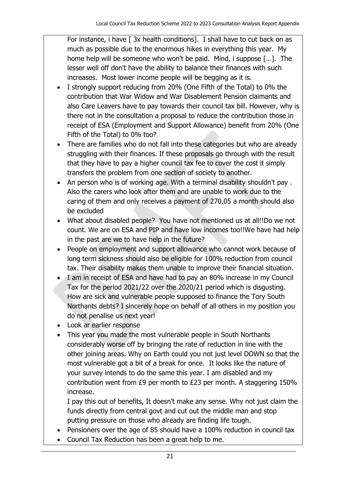For instance, i have [3x health conditions]. I shall have to cut back on as much as possible due to the enormous hikes in everything this year. My home help will be someone who won't be paid. Mind, i suppose […]. The lesser well off don't have the ability to balance their finances with such increases. Most lower income people will be begging as it is.

- I strongly support reducing from 20% (One Fifth of the Total) to 0% the contribution that War Widow and War Disablement Pension claimants and also Care Leavers have to pay towards their council tax bill. However, why is there not in the consultation a proposal to reduce the contribution those in receipt of ESA (Employment and Support Allowance) benefit from 20% (One Fifth of the Total) to 0% too?
- There are families who do not fall into these categories but who are already struggling with their finances. If these proposals go through with the result that they have to pay a higher council tax fee to cover the cost it simply transfers the problem from one section of society to another.
- An person who is of working age. With a terminal disability shouldn't pay . Also the carers who look after them and are unable to work due to the caring of them and only receives a payment of 270.05 a month should also be excluded
- What about disabled people? You have not mentioned us at all!!Do we not count. We are on ESA and PIP and have low incomes too!!We have had help in the past are we to have help in the future?
- People on employment and support allowance who cannot work because of long term sickness should also be eligible for 100% reduction from council tax. Their disability makes them unable to improve their financial situation.
- I am in receipt of ESA and have had to pay an 80% increase in my Council Tax for the period 2021/22 over the 2020/21 period which is disgusting. How are sick and vulnerable people supposed to finance the Tory South Northants debts? I sincerely hope on behalf of all others in my position you do not penalise us next year!
- Look ar earlier response
- This year you made the most vulnerable people in South Northants considerably worse off by bringing the rate of reduction in line with the other joining areas. Why on Earth could you not just level DOWN so that the most vulnerable got a bit of a break for once. It looks like the nature of your survey intends to do the same this year. I am disabled and my contribution went from £9 per month to £23 per month. A staggering 150% increase.

I pay this out of benefits, It doesn't make any sense. Why not just claim the funds directly from central govt and cut out the middle man and stop putting pressure on those who already are finding life tough.

- Pensioners over the age of 85 should have a 100% reduction in council tax
- Council Tax Reduction has been a great help to me.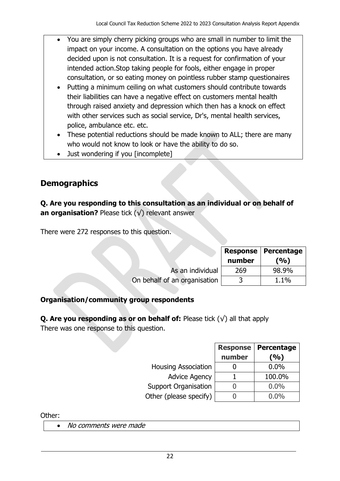- You are simply cherry picking groups who are small in number to limit the impact on your income. A consultation on the options you have already decided upon is not consultation. It is a request for confirmation of your intended action.Stop taking people for fools, either engage in proper consultation, or so eating money on pointless rubber stamp questionaires
- Putting a minimum ceiling on what customers should contribute towards their liabilities can have a negative effect on customers mental health through raised anxiety and depression which then has a knock on effect with other services such as social service, Dr's, mental health services, police, ambulance etc. etc.
- These potential reductions should be made known to ALL; there are many who would not know to look or have the ability to do so.
- Just wondering if you [incomplete]

# <span id="page-21-0"></span>**Demographics**

## **Q. Are you responding to this consultation as an individual or on behalf of an organisation?** Please tick (√) relevant answer

There were 272 responses to this question.

|                              | number | <b>Response   Percentage</b><br>(%) |
|------------------------------|--------|-------------------------------------|
| As an individual             | 269    | 98.9%                               |
| On behalf of an organisation |        | $1.1\%$                             |

# **Organisation/community group respondents**

**Q. Are you responding as or on behalf of:** Please tick (√) all that apply There was one response to this question.

| <b>Housing Association</b>  |
|-----------------------------|
| <b>Advice Agency</b>        |
| <b>Support Organisation</b> |
| Other (please specify)      |

|                             | <b>Response</b> | Percentage |
|-----------------------------|-----------------|------------|
|                             | number          | (%)        |
| <b>Housing Association</b>  |                 | $0.0\%$    |
| <b>Advice Agency</b>        |                 | 100.0%     |
| <b>Support Organisation</b> |                 | $0.0\%$    |
| Other (please specify)      |                 | $0.0\%$    |

Other:

• No comments were made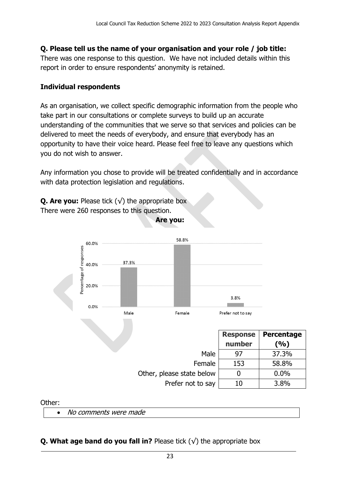#### **Q. Please tell us the name of your organisation and your role / job title:**

There was one response to this question. We have not included details within this report in order to ensure respondents' anonymity is retained.

#### **Individual respondents**

As an organisation, we collect specific demographic information from the people who take part in our consultations or complete surveys to build up an accurate understanding of the communities that we serve so that services and policies can be delivered to meet the needs of everybody, and ensure that everybody has an opportunity to have their voice heard. Please feel free to leave any questions which you do not wish to answer.

Any information you chose to provide will be treated confidentially and in accordance with data protection legislation and regulations.

**Are you:**

**Q. Are you:** Please tick  $(\sqrt{})$  the appropriate box There were 260 responses to this question.



|                           | <b>Response</b><br>number | <b>Percentage</b><br>(%) |
|---------------------------|---------------------------|--------------------------|
| Male                      | 97                        | 37.3%                    |
| Female                    | 153                       | 58.8%                    |
| Other, please state below |                           | 0.0%                     |
| Prefer not to say         | 10                        | 3.8%                     |

#### Other:

• No comments were made

#### **Q. What age band do you fall in?** Please tick  $(\sqrt{\ })$  the appropriate box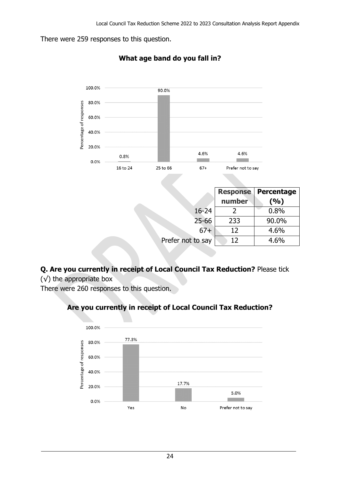There were 259 responses to this question.



### **What age band do you fall in?**

| <b>Response</b> | Percentage |  |
|-----------------|------------|--|
| number          | (%)        |  |
|                 | 0.8%       |  |
| 233             | 90.0%      |  |
| 12              | 4.6%       |  |
| 12              | 4.6%       |  |
|                 |            |  |

# **Q. Are you currently in receipt of Local Council Tax Reduction?** Please tick

 $(\sqrt{\ })$  the appropriate box

There were 260 responses to this question.

## **Are you currently in receipt of Local Council Tax Reduction?**

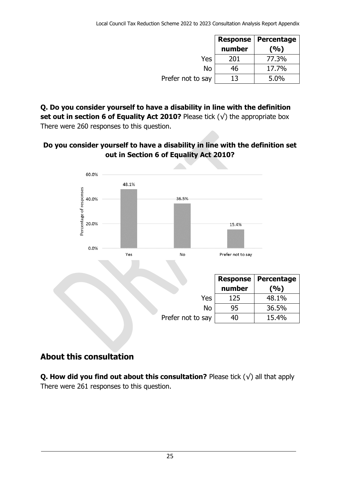|                   | <b>Response</b><br>number | Percentage<br>(%) |
|-------------------|---------------------------|-------------------|
| Yes               | 201                       | 77.3%             |
| No                | 46                        | 17.7%             |
| Prefer not to say | 13                        | 5.0%              |

**Q. Do you consider yourself to have a disability in line with the definition set out in section 6 of Equality Act 2010?** Please tick (√) the appropriate box There were 260 responses to this question.

#### **Do you consider yourself to have a disability in line with the definition set out in Section 6 of Equality Act 2010?**



|                   | <b>Response</b> | Percentage |
|-------------------|-----------------|------------|
|                   | number          | (%)        |
| Yes               | 125             | 48.1%      |
| No                | 95              | 36.5%      |
| Prefer not to say | 40              | 15.4%      |

# **About this consultation**

**Q. How did you find out about this consultation?** Please tick (√) all that apply There were 261 responses to this question.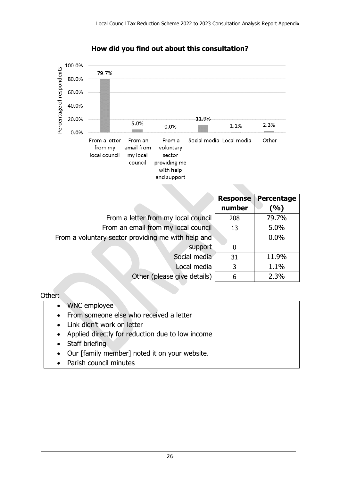

#### **How did you find out about this consultation?**

|                                                    | <b>Response</b> | Percentage |
|----------------------------------------------------|-----------------|------------|
|                                                    | number          | (%)        |
| From a letter from my local council                | 208             | 79.7%      |
| From an email from my local council                | 13              | 5.0%       |
| From a voluntary sector providing me with help and |                 | 0.0%       |
| support                                            | 0               |            |
| Social media                                       | 31              | 11.9%      |
| Local media                                        | 3               | 1.1%       |
| Other (please give details)                        | 6               | 2.3%       |

#### Other:

- WNC employee
- From someone else who received a letter
- Link didn't work on letter
- Applied directly for reduction due to low income
- Staff briefing
- Our [family member] noted it on your website.
- Parish council minutes